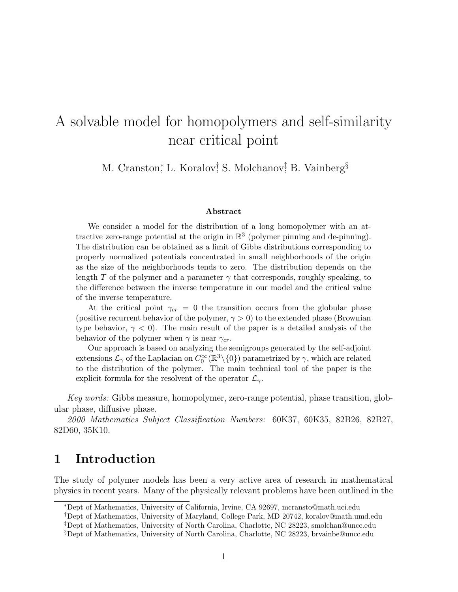# A solvable model for homopolymers and self-similarity near critical point

M. Cranston,\* L. Koralov,† S. Molchanov,† B. Vainberg<sup>§</sup>

#### Abstract

We consider a model for the distribution of a long homopolymer with an attractive zero-range potential at the origin in  $\mathbb{R}^3$  (polymer pinning and de-pinning). The distribution can be obtained as a limit of Gibbs distributions corresponding to properly normalized potentials concentrated in small neighborhoods of the origin as the size of the neighborhoods tends to zero. The distribution depends on the length T of the polymer and a parameter  $\gamma$  that corresponds, roughly speaking, to the difference between the inverse temperature in our model and the critical value of the inverse temperature.

At the critical point  $\gamma_{cr} = 0$  the transition occurs from the globular phase (positive recurrent behavior of the polymer,  $\gamma > 0$ ) to the extended phase (Brownian type behavior,  $\gamma < 0$ ). The main result of the paper is a detailed analysis of the behavior of the polymer when  $\gamma$  is near  $\gamma_{cr}$ .

Our approach is based on analyzing the semigroups generated by the self-adjoint extensions  $\mathcal{L}_{\gamma}$  of the Laplacian on  $C_0^{\infty}(\mathbb{R}^3 \setminus \{0\})$  parametrized by  $\gamma$ , which are related to the distribution of the polymer. The main technical tool of the paper is the explicit formula for the resolvent of the operator  $\mathcal{L}_{\gamma}$ .

Key words: Gibbs measure, homopolymer, zero-range potential, phase transition, globular phase, diffusive phase.

2000 Mathematics Subject Classification Numbers: 60K37, 60K35, 82B26, 82B27, 82D60, 35K10.

# 1 Introduction

The study of polymer models has been a very active area of research in mathematical physics in recent years. Many of the physically relevant problems have been outlined in the

<sup>∗</sup>Dept of Mathematics, University of California, Irvine, CA 92697, mcransto@math.uci.edu

<sup>†</sup>Dept of Mathematics, University of Maryland, College Park, MD 20742, koralov@math.umd.edu

<sup>‡</sup>Dept of Mathematics, University of North Carolina, Charlotte, NC 28223, smolchan@uncc.edu

<sup>§</sup>Dept of Mathematics, University of North Carolina, Charlotte, NC 28223, brvainbe@uncc.edu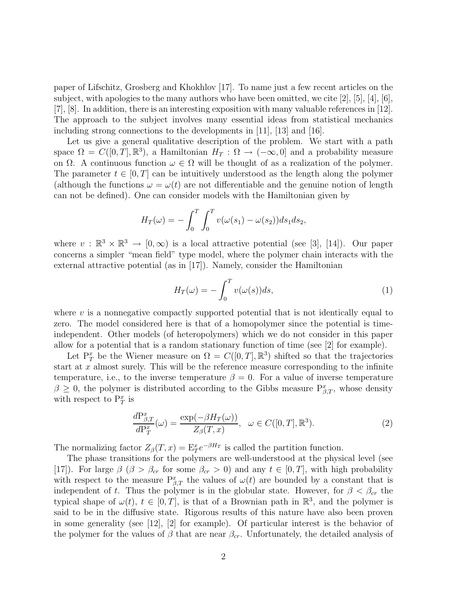paper of Lifschitz, Grosberg and Khokhlov [17]. To name just a few recent articles on the subject, with apologies to the many authors who have been omitted, we cite [2], [5], [4], [6], [7], [8]. In addition, there is an interesting exposition with many valuable references in [12]. The approach to the subject involves many essential ideas from statistical mechanics including strong connections to the developments in [11], [13] and [16].

Let us give a general qualitative description of the problem. We start with a path space  $\Omega = C([0, T], \mathbb{R}^3)$ , a Hamiltonian  $H_T : \Omega \to (-\infty, 0]$  and a probability measure on  $\Omega$ . A continuous function  $\omega \in \Omega$  will be thought of as a realization of the polymer. The parameter  $t \in [0, T]$  can be intuitively understood as the length along the polymer (although the functions  $\omega = \omega(t)$  are not differentiable and the genuine notion of length can not be defined). One can consider models with the Hamiltonian given by

$$
H_T(\omega) = -\int_0^T \int_0^T v(\omega(s_1) - \omega(s_2)) ds_1 ds_2,
$$

where  $v : \mathbb{R}^3 \times \mathbb{R}^3 \to [0, \infty)$  is a local attractive potential (see [3], [14]). Our paper concerns a simpler "mean field" type model, where the polymer chain interacts with the external attractive potential (as in [17]). Namely, consider the Hamiltonian

$$
H_T(\omega) = -\int_0^T v(\omega(s))ds,\tag{1}
$$

where  $v$  is a nonnegative compactly supported potential that is not identically equal to zero. The model considered here is that of a homopolymer since the potential is timeindependent. Other models (of heteropolymers) which we do not consider in this paper allow for a potential that is a random stationary function of time (see [2] for example).

Let  $P_T^x$  be the Wiener measure on  $\Omega = C([0,T], \mathbb{R}^3)$  shifted so that the trajectories start at  $x$  almost surely. This will be the reference measure corresponding to the infinite temperature, i.e., to the inverse temperature  $\beta = 0$ . For a value of inverse temperature  $\beta \geq 0$ , the polymer is distributed according to the Gibbs measure  $P_{\beta,T}^x$ , whose density with respect to  $P_T^x$  is

$$
\frac{dP_{\beta,T}^x}{dP_T^x}(\omega) = \frac{\exp(-\beta H_T(\omega))}{Z_\beta(T,x)}, \quad \omega \in C([0,T], \mathbb{R}^3). \tag{2}
$$

The normalizing factor  $Z_{\beta}(T,x) = \mathbb{E}^x_T e^{-\beta H_T}$  is called the partition function.

The phase transitions for the polymers are well-understood at the physical level (see [17]). For large  $\beta$  ( $\beta > \beta_{cr}$  for some  $\beta_{cr} > 0$ ) and any  $t \in [0, T]$ , with high probability with respect to the measure  $P_{\beta,T}^x$  the values of  $\omega(t)$  are bounded by a constant that is independent of t. Thus the polymer is in the globular state. However, for  $\beta < \beta_{cr}$  the typical shape of  $\omega(t)$ ,  $t \in [0, T]$ , is that of a Brownian path in  $\mathbb{R}^3$ , and the polymer is said to be in the diffusive state. Rigorous results of this nature have also been proven in some generality (see [12], [2] for example). Of particular interest is the behavior of the polymer for the values of  $\beta$  that are near  $\beta_{cr}$ . Unfortunately, the detailed analysis of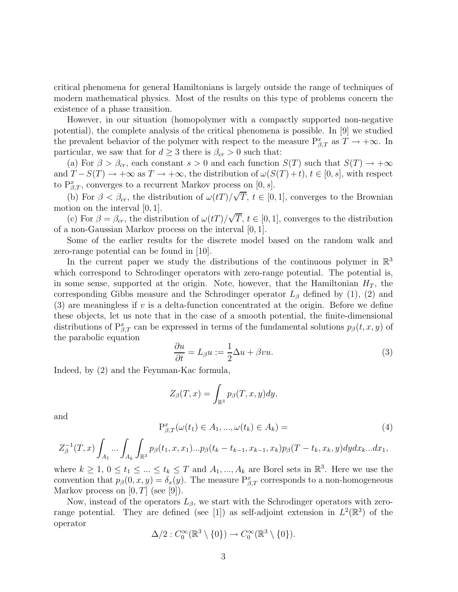critical phenomena for general Hamiltonians is largely outside the range of techniques of modern mathematical physics. Most of the results on this type of problems concern the existence of a phase transition.

However, in our situation (homopolymer with a compactly supported non-negative potential), the complete analysis of the critical phenomena is possible. In [9] we studied the prevalent behavior of the polymer with respect to the measure  $P_{\beta,T}^x$  as  $T \to +\infty$ . In particular, we saw that for  $d \geq 3$  there is  $\beta_{cr} > 0$  such that:

(a) For  $\beta > \beta_{cr}$ , each constant  $s > 0$  and each function  $S(T)$  such that  $S(T) \rightarrow +\infty$ and  $T - S(T) \to +\infty$  as  $T \to +\infty$ , the distribution of  $\omega(S(T) + t)$ ,  $t \in [0, s]$ , with respect to  $P_{\beta,T}^x$ , converges to a recurrent Markov process on  $[0, s]$ .

(b) For  $\beta < \beta_{cr}$ , the distribution of  $\omega(t) / \sqrt{T}$ ,  $t \in [0, 1]$ , converges to the Brownian motion on the interval [0, 1].

(c) For  $\beta = \beta_{cr}$ , the distribution of  $\omega(t) / \sqrt{T}$ ,  $t \in [0, 1]$ , converges to the distribution of a non-Gaussian Markov process on the interval [0, 1].

Some of the earlier results for the discrete model based on the random walk and zero-range potential can be found in [10].

In the current paper we study the distributions of the continuous polymer in  $\mathbb{R}^3$ which correspond to Schrodinger operators with zero-range potential. The potential is, in some sense, supported at the origin. Note, however, that the Hamiltonian  $H_T$ , the corresponding Gibbs measure and the Schrodinger operator  $L_\beta$  defined by (1), (2) and  $(3)$  are meaningless if v is a delta-function concentrated at the origin. Before we define these objects, let us note that in the case of a smooth potential, the finite-dimensional distributions of  $P_{\beta,T}^x$  can be expressed in terms of the fundamental solutions  $p_\beta(t,x,y)$  of the parabolic equation

$$
\frac{\partial u}{\partial t} = L_{\beta} u := \frac{1}{2} \Delta u + \beta v u. \tag{3}
$$

Indeed, by (2) and the Feynman-Kac formula,

$$
Z_{\beta}(T,x) = \int_{\mathbb{R}^3} p_{\beta}(T,x,y) dy,
$$

and

$$
P_{\beta,T}^{x}(\omega(t_{1}) \in A_{1}, ..., \omega(t_{k}) \in A_{k}) =
$$
\n(4)

$$
Z^{-1}_{\beta}(T,x)\int_{A_1}...\int_{A_k}\int_{\mathbb{R}^3}p_{\beta}(t_1,x,x_1)...p_{\beta}(t_k-t_{k-1},x_{k-1},x_k)p_{\beta}(T-t_k,x_k,y)dydx_k...dx_1,
$$

where  $k \geq 1, 0 \leq t_1 \leq ... \leq t_k \leq T$  and  $A_1, ..., A_k$  are Borel sets in  $\mathbb{R}^3$ . Here we use the convention that  $p_\beta(0, x, y) = \delta_x(y)$ . The measure  $P_{\beta, T}^x$  corresponds to a non-homogeneous Markov process on  $[0, T]$  (see  $[9]$ ).

Now, instead of the operators  $L_{\beta}$ , we start with the Schrodinger operators with zerorange potential. They are defined (see [1]) as self-adjoint extension in  $L^2(\mathbb{R}^3)$  of the operator

$$
\Delta/2:C_0^\infty(\mathbb{R}^3\setminus\{0\})\to C_0^\infty(\mathbb{R}^3\setminus\{0\}).
$$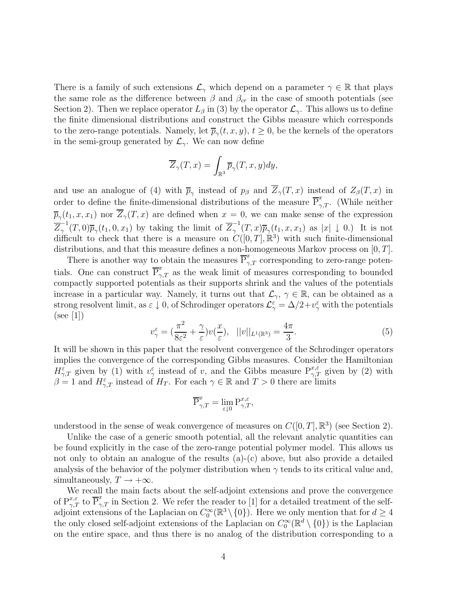There is a family of such extensions  $\mathcal{L}_{\gamma}$  which depend on a parameter  $\gamma \in \mathbb{R}$  that plays the same role as the difference between  $\beta$  and  $\beta_{cr}$  in the case of smooth potentials (see Section 2). Then we replace operator  $L_\beta$  in (3) by the operator  $\mathcal{L}_{\gamma}$ . This allows us to define the finite dimensional distributions and construct the Gibbs measure which corresponds to the zero-range potentials. Namely, let  $\overline{p}_{\gamma}(t, x, y), t \ge 0$ , be the kernels of the operators in the semi-group generated by  $\mathcal{L}_{\gamma}$ . We can now define

$$
\overline{Z}_{\gamma}(T,x)=\int_{\mathbb{R}^3}\overline{p}_{\gamma}(T,x,y)dy,
$$

and use an analogue of (4) with  $\overline{p}_{\gamma}$  instead of  $p_{\beta}$  and  $Z_{\gamma}(T,x)$  instead of  $Z_{\beta}(T,x)$  in order to define the finite-dimensional distributions of the measure  $\overline{P}_{\gamma,T}^x$ . (While neither  $\overline{p}_{\gamma}(t_1, x, x_1)$  nor  $Z_{\gamma}(T, x)$  are defined when  $x = 0$ , we can make sense of the expression  $\overline{Z}_{\gamma}^{-1}(T,0)\overline{p}_{\gamma}(t_1,0,x_1)$  by taking the limit of  $\overline{Z}_{\gamma}^{-1}(T,x)\overline{p}_{\gamma}(t_1,x,x_1)$  as  $|x|\downarrow 0.$ ) It is not difficult to check that there is a measure on  $C([0,T],\mathbb{R}^3)$  with such finite-dimensional distributions, and that this measure defines a non-homogeneous Markov process on  $[0, T]$ .

There is another way to obtain the measures  $\overline{P}_{\gamma,T}^x$  corresponding to zero-range potentials. One can construct  $\overline{P}_{\gamma,T}^x$  as the weak limit of measures corresponding to bounded compactly supported potentials as their supports shrink and the values of the potentials increase in a particular way. Namely, it turns out that  $\mathcal{L}_{\gamma}$ ,  $\gamma \in \mathbb{R}$ , can be obtained as a strong resolvent limit, as  $\varepsilon \downarrow 0$ , of Schrodinger operators  $\mathcal{L}_{\gamma}^{\varepsilon} = \Delta/2 + v_{\gamma}^{\varepsilon}$  with the potentials (see [1])

$$
v_{\gamma}^{\varepsilon} = \left(\frac{\pi^2}{8\varepsilon^2} + \frac{\gamma}{\varepsilon}\right) v(\frac{x}{\varepsilon}), \quad ||v||_{L^1(\mathbb{R}^3)} = \frac{4\pi}{3}.\tag{5}
$$

It will be shown in this paper that the resolvent convergence of the Schrodinger operators implies the convergence of the corresponding Gibbs measures. Consider the Hamiltonian  $H_{\gamma,T}^{\varepsilon}$  given by (1) with  $v_{\gamma}^{\varepsilon}$  instead of v, and the Gibbs measure  $P_{\gamma,T}^{x,\varepsilon}$  given by (2) with  $\beta = 1$  and  $H_{\gamma,T}^{\varepsilon}$  instead of  $H_T$ . For each  $\gamma \in \mathbb{R}$  and  $T > 0$  there are limits

$$
\overline{\mathrm{P}}_{\gamma,T}^x = \lim_{\varepsilon \downarrow 0} \mathrm{P}_{\gamma,T}^{x,\varepsilon},
$$

understood in the sense of weak convergence of measures on  $C([0,T], \mathbb{R}^3)$  (see Section 2).

Unlike the case of a generic smooth potential, all the relevant analytic quantities can be found explicitly in the case of the zero-range potential polymer model. This allows us not only to obtain an analogue of the results  $(a)-(c)$  above, but also provide a detailed analysis of the behavior of the polymer distribution when  $\gamma$  tends to its critical value and, simultaneously,  $T \rightarrow +\infty$ .

We recall the main facts about the self-adjoint extensions and prove the convergence of  $P_{\gamma,T}^{x,\varepsilon}$  to  $\overline{P}_{\gamma,T}^x$  in Section 2. We refer the reader to [1] for a detailed treatment of the selfadjoint extensions of the Laplacian on  $C_0^{\infty}(\mathbb{R}^3 \setminus \{0\})$ . Here we only mention that for  $d \geq 4$ the only closed self-adjoint extensions of the Laplacian on  $C_0^{\infty}(\mathbb{R}^d \setminus \{0\})$  is the Laplacian on the entire space, and thus there is no analog of the distribution corresponding to a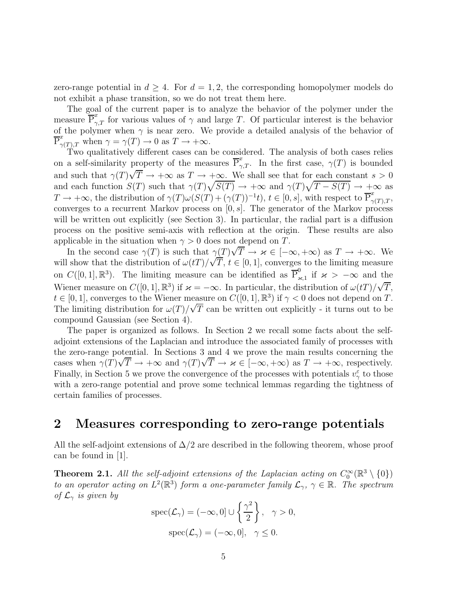zero-range potential in  $d \geq 4$ . For  $d = 1, 2$ , the corresponding homopolymer models do not exhibit a phase transition, so we do not treat them here.

The goal of the current paper is to analyze the behavior of the polymer under the measure  $\overline{\mathbb{P}}_{\gamma,T}^x$  for various values of  $\gamma$  and large T. Of particular interest is the behavior of the polymer when  $\gamma$  is near zero. We provide a detailed analysis of the behavior of  $\overline{P}^x_{\gamma(T),T}$  when  $\gamma = \gamma(T) \to 0$  as  $T \to +\infty$ .

Two qualitatively different cases can be considered. The analysis of both cases relies on a self-similarity property of the measures  $\overline{P}_{\gamma,T}^x$ . In the first case,  $\gamma(T)$  is bounded and such that  $\gamma(T)\sqrt{T} \to +\infty$  as  $T \to +\infty$ . We shall see that for each constant  $s > 0$ and each function  $S(T)$  such that  $\gamma(T)\sqrt{S(T)} \to +\infty$  and  $\gamma(T)\sqrt{T-S(T)} \to +\infty$  as  $T \to +\infty$ , the distribution of  $\gamma(T)\omega(S(T) + (\gamma(T))^{-1}t)$ ,  $t \in [0, s]$ , with respect to  $\overline{P}^x_{\gamma(T),T}$ , converges to a recurrent Markov process on  $[0, s]$ . The generator of the Markov process will be written out explicitly (see Section 3). In particular, the radial part is a diffusion process on the positive semi-axis with reflection at the origin. These results are also applicable in the situation when  $\gamma > 0$  does not depend on T.

In the second case  $\gamma(T)$  is such that  $\gamma(T)\sqrt{T} \to \varkappa \in [-\infty, +\infty)$  as  $T \to +\infty$ . We will show that the distribution of  $\omega(t) / \sqrt{T}$ ,  $t \in [0, 1]$ , converges to the limiting measure on  $C([0,1],\mathbb{R}^3)$ . The limiting measure can be identified as  $\overline{P}_{\lambda}^0$  $\frac{\omega}{\varkappa,1}$  if  $\varkappa > -\infty$  and the Wiener measure on  $C([0,1], \mathbb{R}^3)$  if  $\varkappa = -\infty$ . In particular, the distribution of  $\omega(t) / \sqrt{T}$ ,  $t \in [0,1]$ , converges to the Wiener measure on  $C([0,1], \mathbb{R}^3)$  if  $\gamma < 0$  does not depend on T. The limiting distribution for  $\omega(T)/\sqrt{T}$  can be written out explicitly - it turns out to be compound Gaussian (see Section 4).

The paper is organized as follows. In Section 2 we recall some facts about the selfadjoint extensions of the Laplacian and introduce the associated family of processes with the zero-range potential. In Sections 3 and 4 we prove the main results concerning the cases when  $\gamma(T)\sqrt{T} \to +\infty$  and  $\gamma(T)\sqrt{T} \to \varkappa \in [-\infty, +\infty)$  as  $T \to +\infty$ , respectively. Finally, in Section 5 we prove the convergence of the processes with potentials  $v_{\gamma}^{\varepsilon}$  to those with a zero-range potential and prove some technical lemmas regarding the tightness of certain families of processes.

### 2 Measures corresponding to zero-range potentials

All the self-adjoint extensions of  $\Delta/2$  are described in the following theorem, whose proof can be found in [1].

**Theorem 2.1.** All the self-adjoint extensions of the Laplacian acting on  $C_0^{\infty}(\mathbb{R}^3 \setminus \{0\})$ to an operator acting on  $L^2(\mathbb{R}^3)$  form a one-parameter family  $\mathcal{L}_{\gamma}$ ,  $\gamma \in \mathbb{R}$ . The spectrum of  $\mathcal{L}_{\gamma}$  is given by

$$
\operatorname{spec}(\mathcal{L}_{\gamma}) = (-\infty, 0] \cup \left\{ \frac{\gamma^2}{2} \right\}, \quad \gamma > 0,
$$

$$
\operatorname{spec}(\mathcal{L}_{\gamma}) = (-\infty, 0], \quad \gamma \le 0.
$$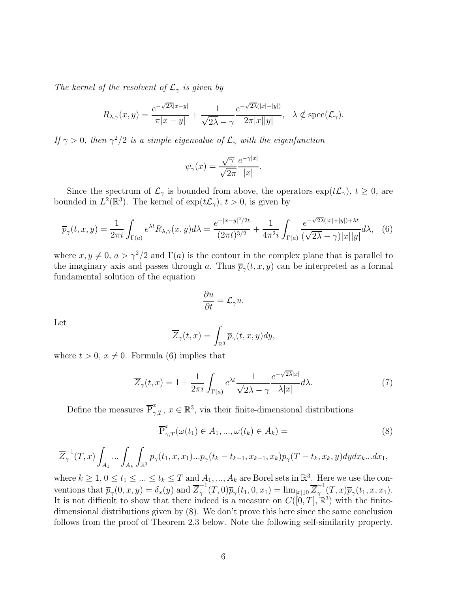The kernel of the resolvent of  $\mathcal{L}_{\gamma}$  is given by

$$
R_{\lambda,\gamma}(x,y) = \frac{e^{-\sqrt{2\lambda}|x-y|}}{\pi|x-y|} + \frac{1}{\sqrt{2\lambda}-\gamma} \frac{e^{-\sqrt{2\lambda}(|x|+|y|)}}{2\pi|x||y|}, \quad \lambda \notin \text{spec}(\mathcal{L}_{\gamma}).
$$

If  $\gamma > 0$ , then  $\gamma^2/2$  is a simple eigenvalue of  $\mathcal{L}_{\gamma}$  with the eigenfunction

$$
\psi_{\gamma}(x) = \frac{\sqrt{\gamma}}{\sqrt{2\pi}} \frac{e^{-\gamma|x|}}{|x|}.
$$

Since the spectrum of  $\mathcal{L}_{\gamma}$  is bounded from above, the operators  $\exp(t\mathcal{L}_{\gamma}), t \geq 0$ , are bounded in  $L^2(\mathbb{R}^3)$ . The kernel of  $\exp(t\mathcal{L}_\gamma)$ ,  $t > 0$ , is given by

$$
\overline{p}_{\gamma}(t,x,y) = \frac{1}{2\pi i} \int_{\Gamma(a)} e^{\lambda t} R_{\lambda,\gamma}(x,y) d\lambda = \frac{e^{-|x-y|^2/2t}}{(2\pi t)^{3/2}} + \frac{1}{4\pi^2 i} \int_{\Gamma(a)} \frac{e^{-\sqrt{2\lambda}(|x|+|y|)+\lambda t}}{(\sqrt{2\lambda}-\gamma)|x||y|} d\lambda, \quad (6)
$$

where  $x, y \neq 0$ ,  $a > \gamma^2/2$  and  $\Gamma(a)$  is the contour in the complex plane that is parallel to the imaginary axis and passes through a. Thus  $\overline{p}_{\gamma}(t, x, y)$  can be interpreted as a formal fundamental solution of the equation

$$
\frac{\partial u}{\partial t} = \mathcal{L}_{\gamma} u.
$$

Let

$$
\overline{Z}_{\gamma}(t,x) = \int_{\mathbb{R}^3} \overline{p}_{\gamma}(t,x,y) dy,
$$

where  $t > 0$ ,  $x \neq 0$ . Formula (6) implies that

$$
\overline{Z}_{\gamma}(t,x) = 1 + \frac{1}{2\pi i} \int_{\Gamma(a)} e^{\lambda t} \frac{1}{\sqrt{2\lambda} - \gamma} \frac{e^{-\sqrt{2\lambda}|x|}}{\lambda |x|} d\lambda. \tag{7}
$$

Define the measures  $\overline{P}_{\gamma,T}^x$ ,  $x \in \mathbb{R}^3$ , via their finite-dimensional distributions

$$
\overline{\mathrm{P}}_{\gamma,T}^x(\omega(t_1) \in A_1, ..., \omega(t_k) \in A_k) = \tag{8}
$$

$$
\overline{Z}_{\gamma}^{-1}(T,x)\int_{A_1}\ldots\int_{A_k}\int_{\mathbb{R}^3}\overline{p}_{\gamma}(t_1,x,x_1)\ldots\overline{p}_{\gamma}(t_k-t_{k-1},x_{k-1},x_k)\overline{p}_{\gamma}(T-t_k,x_k,y)dydx_k...dx_1,
$$

where  $k \geq 1, 0 \leq t_1 \leq ... \leq t_k \leq T$  and  $A_1, ..., A_k$  are Borel sets in  $\mathbb{R}^3$ . Here we use the conventions that  $\overline{p}_{\gamma}(0, x, y) = \delta_x(y)$  and  $\overline{Z}_{\gamma}^{-1}(T, 0)\overline{p}_{\gamma}(t_1, 0, x_1) = \lim_{|x| \downarrow 0} \overline{Z}_{\gamma}^{-1}(T, x)\overline{p}_{\gamma}(t_1, x, x_1)$ . It is not difficult to show that there indeed is a measure on  $C([0,T],\mathbb{R}^3)$  with the finitedimensional distributions given by (8). We don't prove this here since the same conclusion follows from the proof of Theorem 2.3 below. Note the following self-similarity property.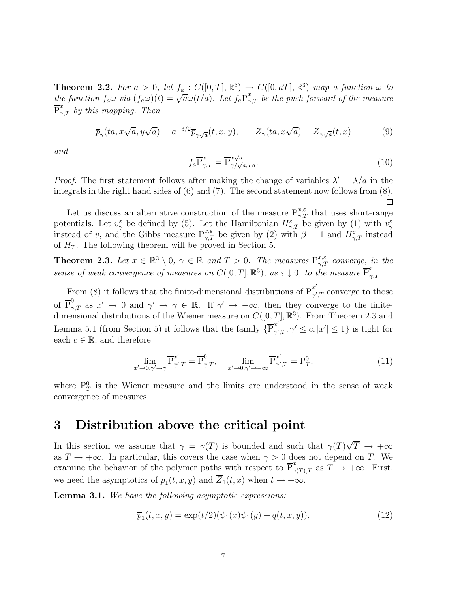**Theorem 2.2.** For  $a > 0$ , let  $f_a$ :  $C([0, T], \mathbb{R}^3) \rightarrow C([0, aT], \mathbb{R}^3)$  map a function  $\omega$  to the function  $f_a\omega$  via  $(f_a\omega)(t) = \sqrt{a}\omega(t/a)$ . Let  $f_a \overline{P}_{\gamma,T}^x$  be the push-forward of the measure  $\overline{\mathrm{P}}_{\gamma,T}^{x}$  by this mapping. Then

$$
\overline{p}_{\gamma}(ta, x\sqrt{a}, y\sqrt{a}) = a^{-3/2}\overline{p}_{\gamma\sqrt{a}}(t, x, y), \qquad \overline{Z}_{\gamma}(ta, x\sqrt{a}) = \overline{Z}_{\gamma\sqrt{a}}(t, x)
$$
(9)

and

$$
f_a \overline{P}_{\gamma,T}^x = \overline{P}_{\gamma/\sqrt{a},Ta}^{x\sqrt{a}}.
$$
 (10)

*Proof.* The first statement follows after making the change of variables  $\lambda' = \lambda/a$  in the integrals in the right hand sides of (6) and (7). The second statement now follows from (8).  $\Box$ 

Let us discuss an alternative construction of the measure  $P_{\gamma,T}^{x,\varepsilon}$  that uses short-range potentials. Let  $v_{\gamma}^{\varepsilon}$  be defined by (5). Let the Hamiltonian  $H_{\gamma,T}^{\varepsilon}$  be given by (1) with  $v_{\gamma}^{\varepsilon}$  instead of v, and the Gibbs measure  $P_{\gamma,T}^{x,\varepsilon}$  be given by (2) with  $\beta = 1$  and  $H_{\gamma,T}^{\varepsilon}$  in of  $H_T$ . The following theorem will be proved in Section 5.

**Theorem 2.3.** Let  $x \in \mathbb{R}^3 \setminus 0$ ,  $\gamma \in \mathbb{R}$  and  $T > 0$ . The measures  $P_{\gamma,T}^{x,\varepsilon}$  converge, in the sense of weak convergence of measures on  $C([0,T],\mathbb{R}^3)$ , as  $\varepsilon \downarrow 0$ , to the measure  $\overline{P}_{\gamma,T}^x$ .

From (8) it follows that the finite-dimensional distributions of  $\overline{P}_{\gamma'}^{x'}$  $\chi^{\mu}_{\gamma',T}$  converge to those of  $\overline{P}_{\gamma,T}^0$  as  $x' \to 0$  and  $\gamma' \to \gamma \in \mathbb{R}$ . If  $\gamma' \to -\infty$ , then they converge to the finitedimensional distributions of the Wiener measure on  $C([0, T], \mathbb{R}^3)$ . From Theorem 2.3 and Lemma 5.1 (from Section 5) it follows that the family  $\{ \overline{P}_{\gamma'}^{x'}\}$  $\gamma',T,\gamma' \leq c, |x'| \leq 1$ } is tight for each  $c \in \mathbb{R}$ , and therefore

$$
\lim_{x'\to 0,\gamma'\to\gamma} \overline{\mathbf{P}}_{\gamma',T}^{x'} = \overline{\mathbf{P}}_{\gamma,T}^0, \quad \lim_{x'\to 0,\gamma'\to-\infty} \overline{\mathbf{P}}_{\gamma',T}^{x'} = \mathbf{P}_T^0,
$$
\n(11)

where  $P_T^0$  is the Wiener measure and the limits are understood in the sense of weak convergence of measures.

#### 3 Distribution above the critical point

In this section we assume that  $\gamma = \gamma(T)$  is bounded and such that  $\gamma(T)\sqrt{T} \rightarrow +\infty$ as  $T \to +\infty$ . In particular, this covers the case when  $\gamma > 0$  does not depend on T. We examine the behavior of the polymer paths with respect to  $\overline{P}^x_{\gamma(T),T}$  as  $\overline{T} \to +\infty$ . First, we need the asymptotics of  $\overline{p}_1(t, x, y)$  and  $Z_1(t, x)$  when  $t \to +\infty$ .

**Lemma 3.1.** We have the following asymptotic expressions:

$$
\overline{p}_1(t, x, y) = \exp(t/2)(\psi_1(x)\psi_1(y) + q(t, x, y)), \tag{12}
$$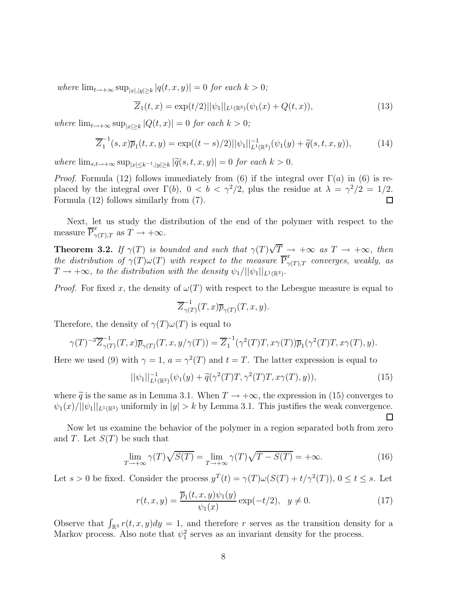where  $\lim_{t\to+\infty} \sup_{|x|,|y|\geq k} |q(t,x,y)| = 0$  for each  $k > 0$ ;

$$
\overline{Z}_1(t,x) = \exp(t/2)||\psi_1||_{L^1(\mathbb{R}^3)}(\psi_1(x) + Q(t,x)),\tag{13}
$$

where  $\lim_{t\to+\infty} \sup_{|x|\geq k} |Q(t,x)| = 0$  for each  $k > 0$ ;

$$
\overline{Z}_1^{-1}(s,x)\overline{p}_1(t,x,y) = \exp((t-s)/2)||\psi_1||_{L^1(\mathbb{R}^3)}^{-1}(\psi_1(y) + \widetilde{q}(s,t,x,y)),\tag{14}
$$

where  $\lim_{s,t\to+\infty} \sup_{|x|\leq k^{-1},|y|\geq k} |\widetilde{q}(s,t,x,y)| = 0$  for each  $k > 0$ .

*Proof.* Formula (12) follows immediately from (6) if the integral over  $\Gamma(a)$  in (6) is replaced by the integral over  $\Gamma(b)$ ,  $0 < b < \gamma^2/2$ , plus the residue at  $\lambda = \gamma^2/2 = 1/2$ . Formula (12) follows similarly from (7). □

Next, let us study the distribution of the end of the polymer with respect to the measure  $\overline{\mathrm{P}}_{\gamma(T),T}^{x}$  as  $T \to +\infty$ .

**Theorem 3.2.** If  $\gamma(T)$  is bounded and such that  $\gamma(T)\sqrt{T} \rightarrow +\infty$  as  $T \rightarrow +\infty$ , then the distribution of  $\gamma(T)\omega(T)$  with respect to the measure  $\overline{P}^x_{\gamma(T),T}$  converges, weakly, as  $T \rightarrow +\infty$ , to the distribution with the density  $\psi_1/||\psi_1||_{L^1(\mathbb{R}^3)}$ .

*Proof.* For fixed x, the density of  $\omega(T)$  with respect to the Lebesgue measure is equal to

$$
\overline{Z}_{\gamma(T)}^{-1}(T,x)\overline{p}_{\gamma(T)}(T,x,y).
$$

Therefore, the density of  $\gamma(T)\omega(T)$  is equal to

$$
\gamma(T)^{-3}\overline{Z}_{\gamma(T)}^{-1}(T,x)\overline{p}_{\gamma(T)}(T,x,y/\gamma(T)) = \overline{Z}_1^{-1}(\gamma^2(T)T,x\gamma(T))\overline{p}_1(\gamma^2(T)T,x\gamma(T),y).
$$

Here we used (9) with  $\gamma = 1$ ,  $a = \gamma^2(T)$  and  $t = T$ . The latter expression is equal to

$$
||\psi_1||_{L^1(\mathbb{R}^3)}^{-1}(\psi_1(y) + \tilde{q}(\gamma^2(T)T, \gamma^2(T)T, x\gamma(T), y)),
$$
\n(15)

 $\Box$ 

where  $\tilde{q}$  is the same as in Lemma 3.1. When  $T \to +\infty$ , the expression in (15) converges to  $\psi_1(x)/||\psi_1||_{L^1(\mathbb{R}^3)}$  uniformly in  $|y| > k$  by Lemma 3.1. This justifies the weak convergence.

Now let us examine the behavior of the polymer in a region separated both from zero and T. Let  $S(T)$  be such that

$$
\lim_{T \to +\infty} \gamma(T)\sqrt{S(T)} = \lim_{T \to +\infty} \gamma(T)\sqrt{T - S(T)} = +\infty.
$$
\n(16)

Let  $s > 0$  be fixed. Consider the process  $y^T(t) = \gamma(T)\omega(S(T) + t/\gamma^2(T))$ ,  $0 \le t \le s$ . Let

$$
r(t, x, y) = \frac{\overline{p}_1(t, x, y)\psi_1(y)}{\psi_1(x)} \exp(-t/2), \ \ y \neq 0.
$$
 (17)

Observe that  $\int_{\mathbb{R}^3} r(t, x, y) dy = 1$ , and therefore r serves as the transition density for a Markov process. Also note that  $\psi_1^2$  serves as an invariant density for the process.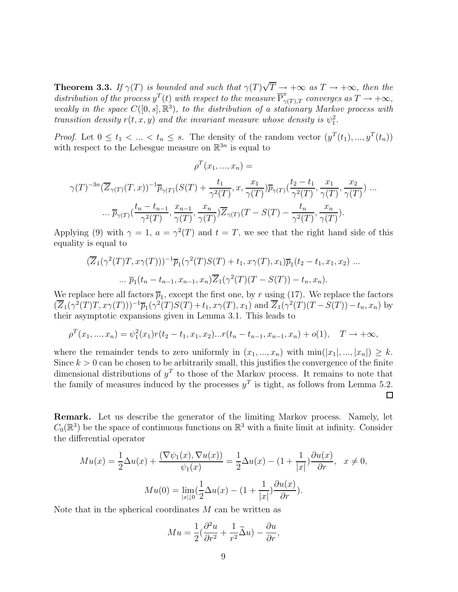**Theorem 3.3.** If  $\gamma(T)$  is bounded and such that  $\gamma(T)\sqrt{T} \to +\infty$  as  $T \to +\infty$ , then the distribution of the process  $y^T(t)$  with respect to the measure  $\overline{P}_{\gamma(T),T}^x$  converges as  $T \to +\infty$ , weakly in the space  $C([0, s], \mathbb{R}^3)$ , to the distribution of a stationary Markov process with transition density  $r(t, x, y)$  and the invariant measure whose density is  $\psi_1^2$ .

*Proof.* Let  $0 \le t_1 < ... < t_n \le s$ . The density of the random vector  $(y^T(t_1),..., y^T(t_n))$ with respect to the Lebesgue measure on  $\mathbb{R}^{3n}$  is equal to

$$
\rho^T(x_1, ..., x_n) =
$$
  

$$
\gamma(T)^{-3n}(\overline{Z}_{\gamma(T)}(T, x))^{-1}\overline{p}_{\gamma(T)}(S(T) + \frac{t_1}{\gamma^2(T)}, x, \frac{x_1}{\gamma(T)})\overline{p}_{\gamma(T)}(\frac{t_2 - t_1}{\gamma^2(T)}, \frac{x_1}{\gamma(T)}, \frac{x_2}{\gamma(T)})...
$$
  

$$
\dots \overline{p}_{\gamma(T)}(\frac{t_n - t_{n-1}}{\gamma^2(T)}, \frac{x_{n-1}}{\gamma(T)}, \frac{x_n}{\gamma(T)})\overline{Z}_{\gamma(T)}(T - S(T) - \frac{t_n}{\gamma^2(T)}, \frac{x_n}{\gamma(T)}).
$$

Applying (9) with  $\gamma = 1$ ,  $a = \gamma^2(T)$  and  $t = T$ , we see that the right hand side of this equality is equal to

$$
(\overline{Z}_1(\gamma^2(T)T, x\gamma(T)))^{-1}\overline{p}_1(\gamma^2(T)S(T) + t_1, x\gamma(T), x_1)\overline{p}_1(t_2 - t_1, x_1, x_2) \dots
$$
  
 
$$
\dots \overline{p}_1(t_n - t_{n-1}, x_{n-1}, x_n)\overline{Z}_1(\gamma^2(T)(T - S(T)) - t_n, x_n).
$$

We replace here all factors  $\overline{p}_1$ , except the first one, by r using (17). We replace the factors  $(\overline{Z}_1(\gamma^2(T)T, x\gamma(T)))^{-1}\overline{p}_1(\gamma^2(T)S(T)+t_1, x\gamma(T), x_1)$  and  $\overline{Z}_1(\gamma^2(T)(T-S(T))-t_n, x_n)$  by their asymptotic expansions given in Lemma 3.1. This leads to

$$
\rho^T(x_1, ..., x_n) = \psi_1^2(x_1) r(t_2 - t_1, x_1, x_2) ... r(t_n - t_{n-1}, x_{n-1}, x_n) + o(1), \quad T \to +\infty,
$$

where the remainder tends to zero uniformly in  $(x_1, ..., x_n)$  with  $\min(|x_1|, ..., |x_n|) \geq k$ . Since  $k > 0$  can be chosen to be arbitrarily small, this justifies the convergence of the finite dimensional distributions of  $y<sup>T</sup>$  to those of the Markov process. It remains to note that the family of measures induced by the processes  $y<sup>T</sup>$  is tight, as follows from Lemma 5.2.  $\Box$ 

Remark. Let us describe the generator of the limiting Markov process. Namely, let  $C_0(\mathbb{R}^3)$  be the space of continuous functions on  $\mathbb{R}^3$  with a finite limit at infinity. Consider the differential operator

$$
Mu(x) = \frac{1}{2}\Delta u(x) + \frac{(\nabla \psi_1(x), \nabla u(x))}{\psi_1(x)} = \frac{1}{2}\Delta u(x) - (1 + \frac{1}{|x|})\frac{\partial u(x)}{\partial r}, \quad x \neq 0,
$$

$$
Mu(0) = \lim_{|x| \downarrow 0} (\frac{1}{2}\Delta u(x) - (1 + \frac{1}{|x|})\frac{\partial u(x)}{\partial r}).
$$

Note that in the spherical coordinates  $M$  can be written as

$$
Mu = \frac{1}{2} \left( \frac{\partial^2 u}{\partial r^2} + \frac{1}{r^2} \widetilde{\Delta} u \right) - \frac{\partial u}{\partial r},
$$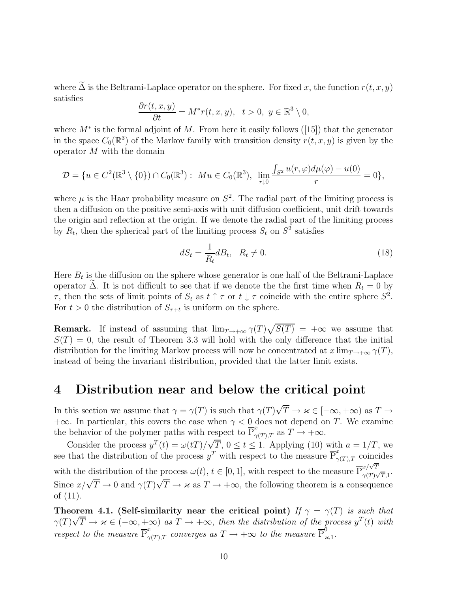where  $\tilde{\Delta}$  is the Beltrami-Laplace operator on the sphere. For fixed x, the function  $r(t, x, y)$ satisfies

$$
\frac{\partial r(t,x,y)}{\partial t}=M^*r(t,x,y),\ \ t>0,\ y\in\mathbb{R}^3\setminus 0,
$$

where  $M^*$  is the formal adjoint of M. From here it easily follows ([15]) that the generator in the space  $C_0(\mathbb{R}^3)$  of the Markov family with transition density  $r(t, x, y)$  is given by the operator M with the domain

$$
\mathcal{D} = \{ u \in C^2(\mathbb{R}^3 \setminus \{0\}) \cap C_0(\mathbb{R}^3) : M u \in C_0(\mathbb{R}^3), \lim_{r \downarrow 0} \frac{\int_{S^2} u(r, \varphi) d\mu(\varphi) - u(0)}{r} = 0 \},\
$$

where  $\mu$  is the Haar probability measure on  $S^2$ . The radial part of the limiting process is then a diffusion on the positive semi-axis with unit diffusion coefficient, unit drift towards the origin and reflection at the origin. If we denote the radial part of the limiting process by  $R_t$ , then the spherical part of the limiting process  $S_t$  on  $S^2$  satisfies

$$
dS_t = \frac{1}{R_t} dB_t, \quad R_t \neq 0. \tag{18}
$$

Here  $B_t$  is the diffusion on the sphere whose generator is one half of the Beltrami-Laplace operator  $\tilde{\Delta}$ . It is not difficult to see that if we denote the the first time when  $R_t = 0$  by  $\tau$ , then the sets of limit points of  $S_t$  as  $t \uparrow \tau$  or  $t \downarrow \tau$  coincide with the entire sphere  $S^2$ . For  $t > 0$  the distribution of  $S_{\tau+t}$  is uniform on the sphere.

**Remark.** If instead of assuming that  $\lim_{T\to+\infty} \gamma(T)\sqrt{S(T)} = +\infty$  we assume that  $S(T) = 0$ , the result of Theorem 3.3 will hold with the only difference that the initial distribution for the limiting Markov process will now be concentrated at  $x \lim_{T \to +\infty} \gamma(T)$ , instead of being the invariant distribution, provided that the latter limit exists.

#### 4 Distribution near and below the critical point

In this section we assume that  $\gamma = \gamma(T)$  is such that  $\gamma(T)\sqrt{T} \to \varkappa \in [-\infty, +\infty)$  as  $T \to$  $+\infty$ . In particular, this covers the case when  $\gamma < 0$  does not depend on T. We examine the behavior of the polymer paths with respect to  $\overline{P}_{\gamma(T),T}^x$  as  $T \to +\infty$ .

Consider the process  $y^T(t) = \omega(t) / \sqrt{T}$ ,  $0 \le t \le 1$ . Applying (10) with  $a = 1/T$ , we see that the distribution of the process  $y^T$  with respect to the measure  $\overline{P}^x_{\gamma(T),T}$  coincides with the distribution of the process  $\omega(t)$ ,  $t \in [0, 1]$ , with respect to the measure P  $x/\sqrt{T}$  $\frac{\alpha}{\gamma(T)\sqrt{T},1}$ . Since  $x/\sqrt{T} \to 0$  and  $\gamma(T)\sqrt{T} \to \varkappa$  as  $T \to +\infty$ , the following theorem is a consequence of (11).

Theorem 4.1. (Self-similarity near the critical point) If  $\gamma = \gamma(T)$  is such that  $\gamma(T)\sqrt{T} \to \varkappa \in (-\infty, +\infty)$  as  $T \to +\infty$ , then the distribution of the process  $y^T(t)$  with respect to the measure  $\overline{P}_{\gamma(T),T}^x$  converges as  $T \to +\infty$  to the measure  $\overline{P}_{\gamma}^0$ ο<br>π,1·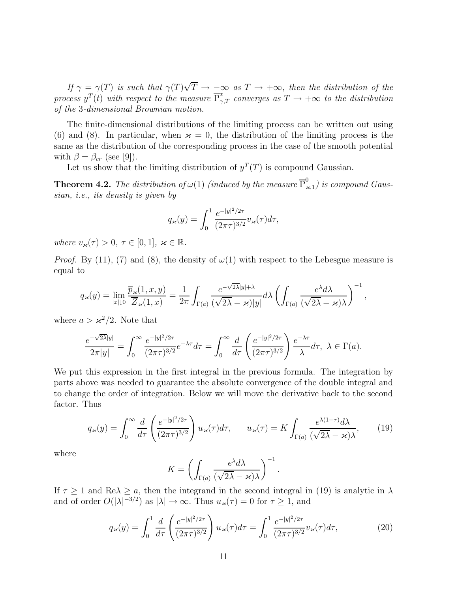If  $\gamma = \gamma(T)$  is such that  $\gamma(T)\sqrt{T} \to -\infty$  as  $T \to +\infty$ , then the distribution of the process  $y^T(t)$  with respect to the measure  $\overline{P}_{\gamma,T}^x$  converges as  $T \to +\infty$  to the distribution of the 3-dimensional Brownian motion.

The finite-dimensional distributions of the limiting process can be written out using (6) and (8). In particular, when  $\varkappa = 0$ , the distribution of the limiting process is the same as the distribution of the corresponding process in the case of the smooth potential with  $\beta = \beta_{cr}$  (see [9]).

Let us show that the limiting distribution of  $y^T(T)$  is compound Gaussian.

**Theorem 4.2.** The distribution of  $\omega(1)$  (induced by the measure  $\overline{P}_{\nu}^{0}$  $\int_{\varkappa,1}^{\infty}$ ) is compound Gaussian, i.e., its density is given by

$$
q_{\varkappa}(y) = \int_0^1 \frac{e^{-|y|^2/2\tau}}{(2\pi\tau)^{3/2}} v_{\varkappa}(\tau) d\tau,
$$

where  $v_{\varkappa}(\tau) > 0, \tau \in [0,1], \varkappa \in \mathbb{R}$ .

*Proof.* By (11), (7) and (8), the density of  $\omega(1)$  with respect to the Lebesgue measure is equal to

$$
q_{\varkappa}(y) = \lim_{|x|\downarrow 0} \frac{\overline{p}_{\varkappa}(1,x,y)}{\overline{Z}_{\varkappa}(1,x)} = \frac{1}{2\pi} \int_{\Gamma(a)} \frac{e^{-\sqrt{2\lambda}|y|+\lambda}}{(\sqrt{2\lambda}-\varkappa)|y|} d\lambda \left( \int_{\Gamma(a)} \frac{e^{\lambda} d\lambda}{(\sqrt{2\lambda}-\varkappa)\lambda} \right)^{-1},
$$

where  $a > \varkappa^2/2$ . Note that

$$
\frac{e^{-\sqrt{2\lambda}|y|}}{2\pi|y|} = \int_0^\infty \frac{e^{-|y|^2/2\tau}}{(2\pi\tau)^{3/2}} e^{-\lambda\tau} d\tau = \int_0^\infty \frac{d}{d\tau} \left(\frac{e^{-|y|^2/2\tau}}{(2\pi\tau)^{3/2}}\right) \frac{e^{-\lambda\tau}}{\lambda} d\tau, \ \lambda \in \Gamma(a).
$$

We put this expression in the first integral in the previous formula. The integration by parts above was needed to guarantee the absolute convergence of the double integral and to change the order of integration. Below we will move the derivative back to the second factor. Thus

$$
q_{\varkappa}(y) = \int_0^\infty \frac{d}{d\tau} \left( \frac{e^{-|y|^2/2\tau}}{(2\pi\tau)^{3/2}} \right) u_{\varkappa}(\tau) d\tau, \qquad u_{\varkappa}(\tau) = K \int_{\Gamma(a)} \frac{e^{\lambda(1-\tau)} d\lambda}{(\sqrt{2\lambda} - \varkappa)\lambda},\tag{19}
$$

where

$$
K = \left(\int_{\Gamma(a)} \frac{e^{\lambda} d\lambda}{(\sqrt{2\lambda} - \varkappa)\lambda}\right)^{-1}
$$

If  $\tau \geq 1$  and Re $\lambda \geq a$ , then the integrand in the second integral in (19) is analytic in  $\lambda$ and of order  $O(|\lambda|^{-3/2})$  as  $|\lambda| \to \infty$ . Thus  $u_{\varkappa}(\tau) = 0$  for  $\tau \ge 1$ , and

$$
q_{\varkappa}(y) = \int_0^1 \frac{d}{d\tau} \left( \frac{e^{-|y|^2/2\tau}}{(2\pi\tau)^{3/2}} \right) u_{\varkappa}(\tau) d\tau = \int_0^1 \frac{e^{-|y|^2/2\tau}}{(2\pi\tau)^{3/2}} v_{\varkappa}(\tau) d\tau, \tag{20}
$$

.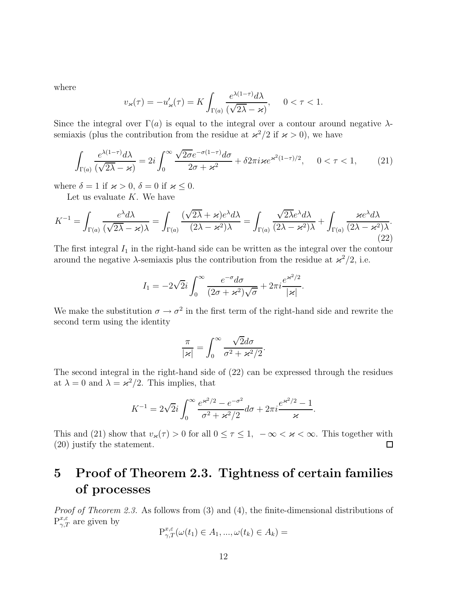where

$$
v_{\varkappa}(\tau) = -u_{\varkappa}'(\tau) = K \int_{\Gamma(a)} \frac{e^{\lambda(1-\tau)} d\lambda}{(\sqrt{2\lambda} - \varkappa)}, \quad 0 < \tau < 1.
$$

Since the integral over  $\Gamma(a)$  is equal to the integral over a contour around negative  $\lambda$ semiaxis (plus the contribution from the residue at  $\alpha^2/2$  if  $\alpha > 0$ ), we have

$$
\int_{\Gamma(a)} \frac{e^{\lambda(1-\tau)} d\lambda}{(\sqrt{2\lambda} - \varkappa)} = 2i \int_0^\infty \frac{\sqrt{2\sigma} e^{-\sigma(1-\tau)} d\sigma}{2\sigma + \varkappa^2} + \delta 2\pi i \varkappa e^{\varkappa^2(1-\tau)/2}, \quad 0 < \tau < 1,\tag{21}
$$

where  $\delta = 1$  if  $\varkappa > 0$ ,  $\delta = 0$  if  $\varkappa \leq 0$ .

Let us evaluate  $K$ . We have

$$
K^{-1} = \int_{\Gamma(a)} \frac{e^{\lambda} d\lambda}{(\sqrt{2\lambda} - \varkappa)\lambda} = \int_{\Gamma(a)} \frac{(\sqrt{2\lambda} + \varkappa)e^{\lambda} d\lambda}{(2\lambda - \varkappa^2)\lambda} = \int_{\Gamma(a)} \frac{\sqrt{2\lambda}e^{\lambda} d\lambda}{(2\lambda - \varkappa^2)\lambda} + \int_{\Gamma(a)} \frac{\varkappa e^{\lambda} d\lambda}{(2\lambda - \varkappa^2)\lambda}.
$$
\n(22)

The first integral  $I_1$  in the right-hand side can be written as the integral over the contour around the negative  $\lambda$ -semiaxis plus the contribution from the residue at  $\alpha^2/2$ , i.e.

$$
I_1 = -2\sqrt{2}i \int_0^\infty \frac{e^{-\sigma} d\sigma}{(2\sigma + \varkappa^2)\sqrt{\sigma}} + 2\pi i \frac{e^{\varkappa^2/2}}{|\varkappa|}.
$$

We make the substitution  $\sigma \to \sigma^2$  in the first term of the right-hand side and rewrite the second term using the identity

$$
\frac{\pi}{|\varkappa|} = \int_0^\infty \frac{\sqrt{2}d\sigma}{\sigma^2 + \varkappa^2/2}.
$$

The second integral in the right-hand side of (22) can be expressed through the residues at  $\lambda = 0$  and  $\lambda = \varkappa^2/2$ . This implies, that

$$
K^{-1} = 2\sqrt{2}i \int_0^\infty \frac{e^{\varkappa^2/2} - e^{-\sigma^2}}{\sigma^2 + \varkappa^2/2} d\sigma + 2\pi i \frac{e^{\varkappa^2/2} - 1}{\varkappa}.
$$

This and (21) show that  $v_{\varkappa}(\tau) > 0$  for all  $0 \le \tau \le 1$ ,  $-\infty < \varkappa < \infty$ . This together with (20) justify the statement. (20) justify the statement.

# 5 Proof of Theorem 2.3. Tightness of certain families of processes

Proof of Theorem 2.3. As follows from (3) and (4), the finite-dimensional distributions of  $P_{\gamma,T}^{x,\varepsilon}$  are given by

$$
\mathbf{P}^{x,\varepsilon}_{\gamma,T}(\omega(t_1)\in A_1,...,\omega(t_k)\in A_k)=
$$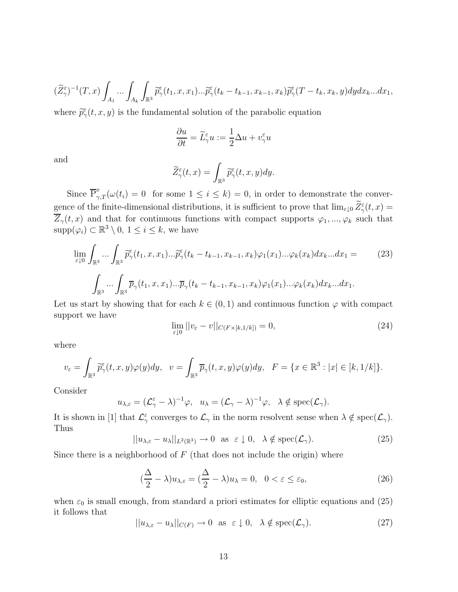$$
(\widetilde{Z}_{\gamma}^{\varepsilon})^{-1}(T,x)\int_{A_{1}}\ldots\int_{A_{k}}\int_{\mathbb{R}^{3}}\widetilde{p}_{\gamma}^{\varepsilon}(t_{1},x,x_{1})\ldots\widetilde{p}_{\gamma}^{\varepsilon}(t_{k}-t_{k-1},x_{k-1},x_{k})\widetilde{p}_{\gamma}^{\varepsilon}(T-t_{k},x_{k},y)dydx_{k}...dx_{1},
$$

where  $\widetilde{p}_{\gamma}^{\varepsilon}(t,x,y)$  is the fundamental solution of the parabolic equation

$$
\frac{\partial u}{\partial t} = \widetilde{L}_{\gamma}^{\varepsilon} u := \frac{1}{2} \Delta u + v_{\gamma}^{\varepsilon} u
$$

and

$$
\widetilde{Z}_{\gamma}^{\varepsilon}(t,x)=\int_{\mathbb{R}^{3}}\widetilde{p}_{\gamma}^{\varepsilon}(t,x,y)dy.
$$

Since  $\overline{P}_{\gamma,T}^x(\omega(t_i) = 0)$  for some  $1 \leq i \leq k$ ) = 0, in order to demonstrate the convergence of the finite-dimensional distributions, it is sufficient to prove that  $\lim_{\varepsilon \downarrow 0} \overline{Z}_{\gamma}^{\varepsilon}(t, x) =$  $\overline{Z}_{\gamma}(t,x)$  and that for continuous functions with compact supports  $\varphi_1,...,\varphi_k$  such that  $\text{supp}(\varphi_i) \subset \mathbb{R}^3 \setminus 0, 1 \leq i \leq k$ , we have

$$
\lim_{\varepsilon \downarrow 0} \int_{\mathbb{R}^3} \dots \int_{\mathbb{R}^3} \widetilde{p}_{\gamma}^{\varepsilon}(t_1, x, x_1) \dots \widetilde{p}_{\gamma}^{\varepsilon}(t_k - t_{k-1}, x_{k-1}, x_k) \varphi_1(x_1) \dots \varphi_k(x_k) dx_k \dots dx_1 =
$$
\n
$$
\int_{\mathbb{R}^3} \dots \int_{\mathbb{R}^3} \overline{p}_{\gamma}(t_1, x, x_1) \dots \overline{p}_{\gamma}(t_k - t_{k-1}, x_{k-1}, x_k) \varphi_1(x_1) \dots \varphi_k(x_k) dx_k \dots dx_1.
$$
\n(23)

Let us start by showing that for each  $k \in (0, 1)$  and continuous function  $\varphi$  with compact support we have

$$
\lim_{\varepsilon \downarrow 0} ||v_{\varepsilon} - v||_{C(F \times [k, 1/k])} = 0,
$$
\n(24)

where

$$
v_{\varepsilon} = \int_{\mathbb{R}^3} \widetilde{p}_{\gamma}^{\varepsilon}(t, x, y) \varphi(y) dy, \quad v = \int_{\mathbb{R}^3} \overline{p}_{\gamma}(t, x, y) \varphi(y) dy, \quad F = \{x \in \mathbb{R}^3 : |x| \in [k, 1/k] \}.
$$

Consider

$$
u_{\lambda,\varepsilon} = (\mathcal{L}^{\varepsilon}_{\gamma} - \lambda)^{-1} \varphi, \quad u_{\lambda} = (\mathcal{L}_{\gamma} - \lambda)^{-1} \varphi, \quad \lambda \notin \text{spec}(\mathcal{L}_{\gamma}).
$$

It is shown in [1] that  $\mathcal{L}^{\varepsilon}_{\gamma}$  converges to  $\mathcal{L}_{\gamma}$  in the norm resolvent sense when  $\lambda \notin \text{spec}(\mathcal{L}_{\gamma})$ . Thus

$$
||u_{\lambda,\varepsilon} - u_{\lambda}||_{L^{2}(\mathbb{R}^{3})} \to 0 \text{ as } \varepsilon \downarrow 0, \quad \lambda \notin \text{spec}(\mathcal{L}_{\gamma}).
$$
\n(25)

Since there is a neighborhood of  $F$  (that does not include the origin) where

$$
(\frac{\Delta}{2} - \lambda)u_{\lambda,\varepsilon} = (\frac{\Delta}{2} - \lambda)u_{\lambda} = 0, \quad 0 < \varepsilon \le \varepsilon_0,
$$
\n(26)

when  $\varepsilon_0$  is small enough, from standard a priori estimates for elliptic equations and (25) it follows that

$$
||u_{\lambda,\varepsilon} - u_{\lambda}||_{C(F)} \to 0 \text{ as } \varepsilon \downarrow 0, \quad \lambda \notin \text{spec}(\mathcal{L}_{\gamma}).
$$
 (27)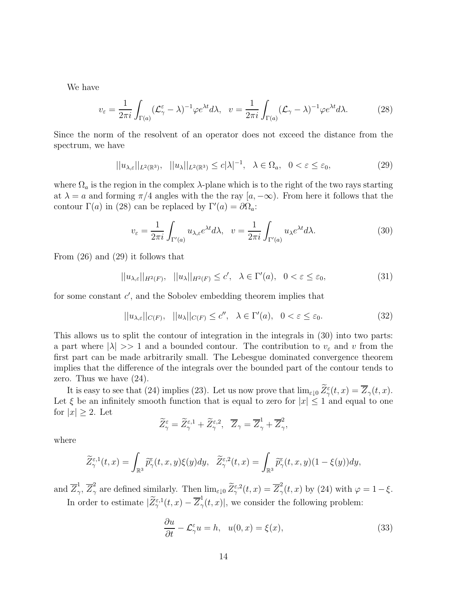We have

$$
v_{\varepsilon} = \frac{1}{2\pi i} \int_{\Gamma(a)} (\mathcal{L}_{\gamma}^{\varepsilon} - \lambda)^{-1} \varphi e^{\lambda t} d\lambda, \quad v = \frac{1}{2\pi i} \int_{\Gamma(a)} (\mathcal{L}_{\gamma} - \lambda)^{-1} \varphi e^{\lambda t} d\lambda.
$$
 (28)

Since the norm of the resolvent of an operator does not exceed the distance from the spectrum, we have

$$
||u_{\lambda,\varepsilon}||_{L^{2}(\mathbb{R}^{3})}, \quad ||u_{\lambda}||_{L^{2}(\mathbb{R}^{3})} \leq c|\lambda|^{-1}, \quad \lambda \in \Omega_{a}, \quad 0 < \varepsilon \leq \varepsilon_{0}, \tag{29}
$$

where  $\Omega_a$  is the region in the complex  $\lambda$ -plane which is to the right of the two rays starting at  $\lambda = a$  and forming  $\pi/4$  angles with the the ray  $[a, -\infty)$ . From here it follows that the contour  $\Gamma(a)$  in (28) can be replaced by  $\Gamma'(a) = \partial \Omega_a$ :

$$
v_{\varepsilon} = \frac{1}{2\pi i} \int_{\Gamma'(a)} u_{\lambda,\varepsilon} e^{\lambda t} d\lambda, \quad v = \frac{1}{2\pi i} \int_{\Gamma'(a)} u_{\lambda} e^{\lambda t} d\lambda. \tag{30}
$$

From (26) and (29) it follows that

 $||u_{\lambda,\varepsilon}||_{H^2(F)},$   $||u_{\lambda}||_{H^2(F)} \leq c', \quad \lambda \in \Gamma'(a), \quad 0 < \varepsilon \leq \varepsilon_0,$  (31)

for some constant  $c'$ , and the Sobolev embedding theorem implies that

$$
||u_{\lambda,\varepsilon}||_{C(F)}, \quad ||u_{\lambda}||_{C(F)} \le c'', \quad \lambda \in \Gamma'(a), \quad 0 < \varepsilon \le \varepsilon_0. \tag{32}
$$

This allows us to split the contour of integration in the integrals in (30) into two parts: a part where  $|\lambda| >> 1$  and a bounded contour. The contribution to  $v_{\varepsilon}$  and v from the first part can be made arbitrarily small. The Lebesgue dominated convergence theorem implies that the difference of the integrals over the bounded part of the contour tends to zero. Thus we have (24).

It is easy to see that (24) implies (23). Let us now prove that  $\lim_{\varepsilon \downarrow 0} \overline{Z}_{\gamma}^{\varepsilon}(t, x) = \overline{Z}_{\gamma}(t, x)$ . Let  $\xi$  be an infinitely smooth function that is equal to zero for  $|x| \leq 1$  and equal to one for  $|x| \geq 2$ . Let

$$
\widetilde{Z}_{\gamma}^{\varepsilon}=\widetilde{Z}_{\gamma}^{\varepsilon,1}+\widetilde{Z}_{\gamma}^{\varepsilon,2},\ \ \overline{Z}_{\gamma}=\overline{Z}_{\gamma}^{1}+\overline{Z}_{\gamma}^{2},
$$

where

$$
\widetilde{Z}^{\varepsilon,1}_{\gamma}(t,x)=\int_{\mathbb{R}^{3}}\widetilde{p}^{\varepsilon}_{\gamma}(t,x,y)\xi(y)dy,\quad \widetilde{Z}^{\varepsilon,2}_{\gamma}(t,x)=\int_{\mathbb{R}^{3}}\widetilde{p}^{\varepsilon}_{\gamma}(t,x,y)(1-\xi(y))dy,
$$

and  $\overline{Z}_{\gamma}^{1}$  $\frac{1}{\gamma},\ \overline{Z}_{\gamma}^2$ <sup>2</sup>/<sub>7</sub> are defined similarly. Then  $\lim_{\varepsilon \downarrow 0} \widetilde{Z}_{\gamma}^{\varepsilon,2}(t,x) = \overline{Z}_{\gamma}^2$  $\frac{2}{\gamma}(t, x)$  by (24) with  $\varphi = 1 - \xi$ . In order to estimate  $|\widetilde{Z}_{\gamma}^{\varepsilon,1}(t,x)-\overline{Z}_{\gamma}^{1}$  $\sigma_{\gamma}(t,x)$ , we consider the following problem:

$$
\frac{\partial u}{\partial t} - \mathcal{L}_{\gamma}^{\varepsilon} u = h, \quad u(0, x) = \xi(x), \tag{33}
$$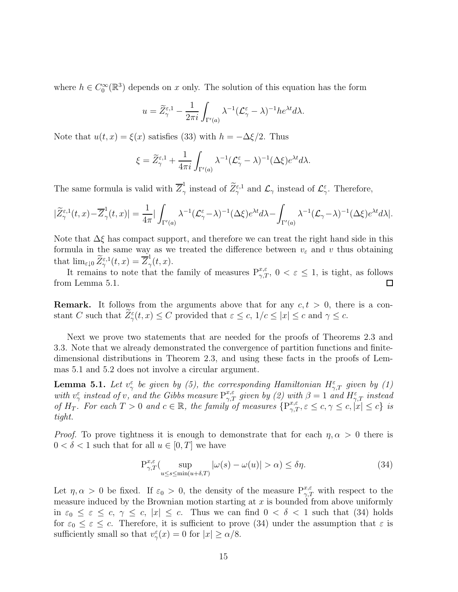where  $h \in C_0^{\infty}(\mathbb{R}^3)$  depends on x only. The solution of this equation has the form

$$
u = \widetilde{Z}_{\gamma}^{\varepsilon,1} - \frac{1}{2\pi i} \int_{\Gamma'(a)} \lambda^{-1} (\mathcal{L}_{\gamma}^{\varepsilon} - \lambda)^{-1} h e^{\lambda t} d\lambda.
$$

Note that  $u(t, x) = \xi(x)$  satisfies (33) with  $h = -\Delta \xi/2$ . Thus

$$
\xi = \widetilde{Z}_{\gamma}^{\varepsilon,1} + \frac{1}{4\pi i} \int_{\Gamma'(a)} \lambda^{-1} (\mathcal{L}_{\gamma}^{\varepsilon} - \lambda)^{-1} (\Delta \xi) e^{\lambda t} d\lambda.
$$

The same formula is valid with  $\overline{Z}_{\gamma}^{1}$ <sup>1</sup>/<sub>7</sub> instead of  $\mathcal{Z}_{\gamma}^{\varepsilon,1}$  and  $\mathcal{L}_{\gamma}$  instead of  $\mathcal{L}_{\gamma}^{\varepsilon}$ . Therefore,

$$
|\widetilde{Z}^{\varepsilon,1}_{\gamma}(t,x)-\overline{Z}^1_{\gamma}(t,x)|=\frac{1}{4\pi}|\int_{\Gamma'(a)}\lambda^{-1}(\mathcal{L}^{\varepsilon}_\gamma-\lambda)^{-1}(\Delta\xi)e^{\lambda t}d\lambda-\int_{\Gamma'(a)}\lambda^{-1}(\mathcal{L}_\gamma-\lambda)^{-1}(\Delta\xi)e^{\lambda t}d\lambda|.
$$

Note that  $\Delta \xi$  has compact support, and therefore we can treat the right hand side in this formula in the same way as we treated the difference between  $v_{\varepsilon}$  and v thus obtaining that  $\lim_{\varepsilon \downarrow 0} \widetilde{Z}_{\gamma}^{\varepsilon,1}(t,x) = \overline{Z}_{\gamma}^{1}$  $\frac{1}{\gamma}(t,x).$ 

It remains to note that the family of measures  $P_{\gamma,T}^{x,\varepsilon}$ ,  $0 < \varepsilon \leq 1$ , is tight, as follows from Lemma 5.1.

**Remark.** It follows from the arguments above that for any  $c, t > 0$ , there is a constant C such that  $\overline{Z}_{\gamma}^{\varepsilon}(t,x) \leq C$  provided that  $\varepsilon \leq c$ ,  $1/c \leq |x| \leq c$  and  $\gamma \leq c$ .

Next we prove two statements that are needed for the proofs of Theorems 2.3 and 3.3. Note that we already demonstrated the convergence of partition functions and finitedimensional distributions in Theorem 2.3, and using these facts in the proofs of Lemmas 5.1 and 5.2 does not involve a circular argument.

**Lemma 5.1.** Let  $v_{\gamma}^{\varepsilon}$  be given by (5), the corresponding Hamiltonian  $H_{\gamma,T}^{\varepsilon}$  given by (1) with  $v_{\gamma}^{\varepsilon}$  instead of v, and the Gibbs measure  $P_{\gamma,T}^{x,\varepsilon}$  given by (2) with  $\beta=1$  and  $H_{\gamma,T}^{\varepsilon}$  instead of  $H_T$ . For each  $T > 0$  and  $c \in \mathbb{R}$ , the family of measures  $\{P_{\gamma,T}^{x,\varepsilon}, \varepsilon \leq c, \gamma \leq c, |x| \leq c\}$  is tight.

*Proof.* To prove tightness it is enough to demonstrate that for each  $\eta, \alpha > 0$  there is  $0 < \delta < 1$  such that for all  $u \in [0, T]$  we have

$$
\mathcal{P}_{\gamma,T}^{x,\varepsilon}(\sup_{u\leq s\leq \min(u+\delta,T)}|\omega(s)-\omega(u)|>\alpha)\leq \delta\eta.
$$
 (34)

Let  $\eta, \alpha > 0$  be fixed. If  $\varepsilon_0 > 0$ , the density of the measure  $P_{\gamma, T}^{x, \varepsilon}$  with respect to the measure induced by the Brownian motion starting at  $x$  is bounded from above uniformly in  $\varepsilon_0 \leq \varepsilon \leq c, \gamma \leq c, |x| \leq c$ . Thus we can find  $0 < \delta < 1$  such that (34) holds for  $\varepsilon_0 \leq \varepsilon \leq c$ . Therefore, it is sufficient to prove (34) under the assumption that  $\varepsilon$  is sufficiently small so that  $v_{\gamma}^{\varepsilon}(x) = 0$  for  $|x| \ge \alpha/8$ .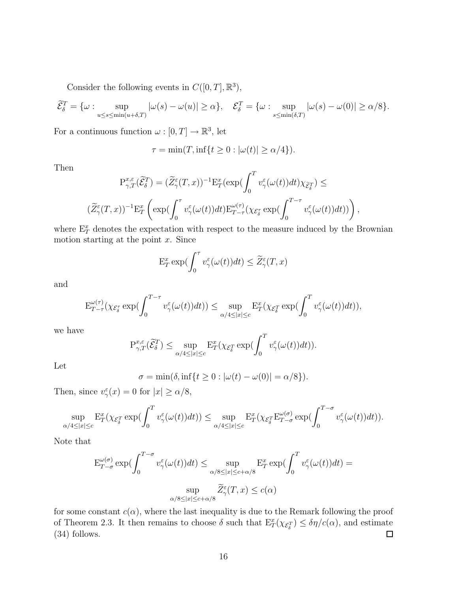Consider the following events in  $C([0, T], \mathbb{R}^3)$ ,

$$
\widetilde{\mathcal{E}}_{\delta}^{T} = \{ \omega : \sup_{u \le s \le \min(u+\delta,T)} |\omega(s) - \omega(u)| \ge \alpha \}, \quad \mathcal{E}_{\delta}^{T} = \{ \omega : \sup_{s \le \min(\delta,T)} |\omega(s) - \omega(0)| \ge \alpha/8 \}.
$$

For a continuous function  $\omega : [0, T] \to \mathbb{R}^3$ , let

$$
\tau = \min(T, \inf\{t \ge 0 : |\omega(t)| \ge \alpha/4\}).
$$

Then

$$
\begin{aligned} \mathbf{P}^{x,\varepsilon}_{\gamma,T}(\widetilde{\mathcal{E}}^T_\delta) &= (\widetilde{Z}^\varepsilon_\gamma(T,x))^{-1} \mathbf{E}^x_T(\exp(\int_0^T v^\varepsilon_\gamma(\omega(t))dt) \chi_{\widetilde{\mathcal{E}}^T_\delta}) \le \\ & (\widetilde{Z}^\varepsilon_\gamma(T,x))^{-1} \mathbf{E}^x_T\left(\exp(\int_0^\tau v^\varepsilon_\gamma(\omega(t))dt) \mathbf{E}^{\omega(\tau)}_{T-\tau}(\chi_{\mathcal{E}^\tau_\delta} \exp(\int_0^{T-\tau} v^\varepsilon_\gamma(\omega(t))dt))\right), \end{aligned}
$$

where  $\mathbb{E}^x_T$  denotes the expectation with respect to the measure induced by the Brownian motion starting at the point  $x$ . Since

$$
\mathcal{E}_T^x \exp(\int_0^\tau v_\gamma^\varepsilon(\omega(t))dt) \leq \widetilde{Z}_\gamma^\varepsilon(T,x)
$$

and

$$
\mathbf{E}^{\omega(\tau)}_{T-\tau}(\chi_{\mathcal{E}^\tau_\delta} \exp(\int_0^{T-\tau} v^\varepsilon_\gamma(\omega(t))dt)) \leq \sup_{\alpha/4 \leq |x| \leq c} \mathbf{E}^x_T(\chi_{\mathcal{E}^\mathcal{T}_\delta} \exp(\int_0^T v^\varepsilon_\gamma(\omega(t))dt)),
$$

we have

$$
\mathcal{P}^{x,\varepsilon}_{\gamma,T}(\widetilde{\mathcal{E}}^T_{\delta}) \leq \sup_{\alpha/4 \leq |x| \leq c} \mathcal{E}^x_T(\chi_{\mathcal{E}^T_{\delta}} \exp(\int_0^T v^{\varepsilon}_{\gamma}(\omega(t))dt)).
$$

Let

$$
\sigma = \min(\delta, \inf\{t \ge 0 : |\omega(t) - \omega(0)| = \alpha/8\}).
$$

Then, since  $v_{\gamma}^{\varepsilon}(x) = 0$  for  $|x| \ge \alpha/8$ ,

$$
\sup_{\alpha/4\leq |x|\leq c} \mathbf{E}^x_T(\chi_{\mathcal{E}^T_\delta} \exp(\int_0^T v_\gamma^\varepsilon(\omega(t))dt))\leq \sup_{\alpha/4\leq |x|\leq c} \mathbf{E}^x_T(\chi_{\mathcal{E}^T_\delta} \mathbf{E}^{\omega(\sigma)}_{T-\sigma} \exp(\int_0^{T-\sigma} v_\gamma^\varepsilon(\omega(t))dt)).
$$

Note that

$$
\mathcal{E}_{T-\sigma}^{\omega(\sigma)} \exp\left(\int_0^{T-\sigma} v_\gamma^{\varepsilon}(\omega(t))dt\right) \le \sup_{\alpha/8 \le |x| \le c+\alpha/8} \mathcal{E}_T^x \exp\left(\int_0^T v_\gamma^{\varepsilon}(\omega(t))dt\right) =
$$
  

$$
\sup_{\alpha/8 \le |x| \le c+\alpha/8} \widetilde{Z}_\gamma^{\varepsilon}(T,x) \le c(\alpha)
$$

for some constant  $c(\alpha)$ , where the last inequality is due to the Remark following the proof of Theorem 2.3. It then remains to choose  $\delta$  such that  $E_T^x(\chi_{\mathcal{E}_\delta^T}) \leq \delta \eta/c(\alpha)$ , and estimate (34) follows.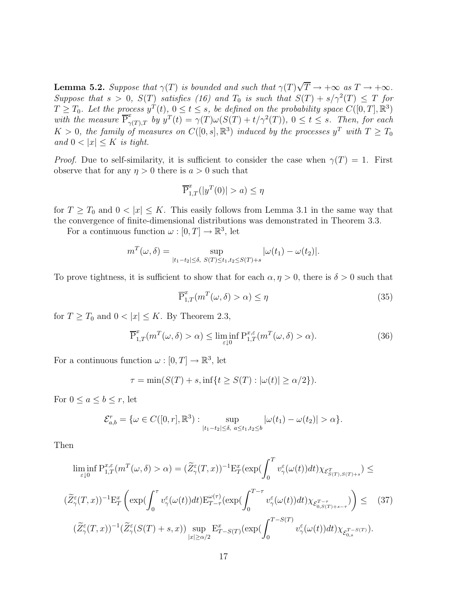**Lemma 5.2.** Suppose that  $\gamma(T)$  is bounded and such that  $\gamma(T)\sqrt{T} \to +\infty$  as  $T \to +\infty$ . Suppose that  $s > 0$ ,  $S(T)$  satisfies (16) and  $T_0$  is such that  $S(T) + s/\gamma^2(T) \leq T$  for  $T \geq T_0$ . Let the process  $y^T(t), 0 \leq t \leq s$ , be defined on the probability space  $C([0, T], \mathbb{R}^3)$ with the measure  $\overline{P}_{\gamma(T),T}^x$  by  $y^T(t) = \gamma(T)\omega(S(T) + t/\gamma^2(T))$ ,  $0 \le t \le s$ . Then, for each  $K > 0$ , the family of measures on  $C([0, s], \mathbb{R}^3)$  induced by the processes  $y^T$  with  $T \geq T_0$ and  $0 < |x| \leq K$  is tight.

*Proof.* Due to self-similarity, it is sufficient to consider the case when  $\gamma(T) = 1$ . First observe that for any  $\eta > 0$  there is  $a > 0$  such that

$$
\overline{\mathbf{P}}^x_{1,T}(|y^T(0)|>a)\leq \eta
$$

for  $T \geq T_0$  and  $0 < |x| \leq K$ . This easily follows from Lemma 3.1 in the same way that the convergence of finite-dimensional distributions was demonstrated in Theorem 3.3.

For a continuous function  $\omega : [0, T] \to \mathbb{R}^3$ , let

$$
m^{T}(\omega,\delta) = \sup_{|t_{1}-t_{2}| \leq \delta, \ S(T) \leq t_{1}, t_{2} \leq S(T)+s} |\omega(t_{1}) - \omega(t_{2})|.
$$

To prove tightness, it is sufficient to show that for each  $\alpha, \eta > 0$ , there is  $\delta > 0$  such that

$$
\overline{\mathbf{P}}_{1,T}^x(m^T(\omega,\delta) > \alpha) \le \eta \tag{35}
$$

for  $T \geq T_0$  and  $0 < |x| \leq K$ . By Theorem 2.3,

$$
\overline{\mathbf{P}}_{1,T}^x(m^T(\omega,\delta) > \alpha) \le \liminf_{\varepsilon \downarrow 0} \mathbf{P}_{1,T}^{x,\varepsilon}(m^T(\omega,\delta) > \alpha). \tag{36}
$$

For a continuous function  $\omega : [0, T] \to \mathbb{R}^3$ , let

$$
\tau = \min(S(T) + s, \inf\{t \ge S(T) : |\omega(t)| \ge \alpha/2\}).
$$

For  $0 \le a \le b \le r$ , let

$$
\mathcal{E}_{a,b}^r = \{ \omega \in C([0,r], \mathbb{R}^3) : \sup_{|t_1 - t_2| \le \delta, \ a \le t_1, t_2 \le b} |\omega(t_1) - \omega(t_2)| > \alpha \}.
$$

Then

$$
\liminf_{\varepsilon \downarrow 0} P_{1,T}^{x,\varepsilon}(m^T(\omega,\delta) > \alpha) = (\widetilde{Z}_{\gamma}^{\varepsilon}(T,x))^{-1} E_{T}^{x} (\exp(\int_{0}^{T} v_{\gamma}^{\varepsilon}(\omega(t))dt) \chi_{\mathcal{E}_{S(T),S(T)+s}^{T}}) \le
$$
  

$$
(\widetilde{Z}_{\gamma}^{\varepsilon}(T,x))^{-1} E_{T}^{x} \left( \exp(\int_{0}^{\tau} v_{\gamma}^{\varepsilon}(\omega(t))dt) E_{T-\tau}^{\omega(\tau)} (\exp(\int_{0}^{T-\tau} v_{\gamma}^{\varepsilon}(\omega(t))dt) \chi_{\mathcal{E}_{0,S(T)+s-\tau}^{T-\tau}}) \right) \leq (37)
$$
  

$$
(\widetilde{Z}_{\gamma}^{\varepsilon}(T,x))^{-1} (\widetilde{Z}_{\gamma}^{\varepsilon}(S(T)+s,x)) \sup_{|x| \geq \alpha/2} E_{T-S(T)}^{x} (\exp(\int_{0}^{T-S(T)} v_{\gamma}^{\varepsilon}(\omega(t))dt) \chi_{\mathcal{E}_{0,s}^{T-S(T)}}).
$$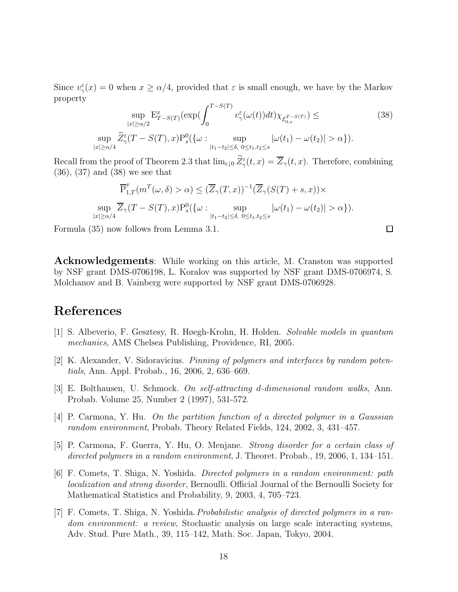Since  $v_{\gamma}^{\varepsilon}(x) = 0$  when  $x \ge \alpha/4$ , provided that  $\varepsilon$  is small enough, we have by the Markov property

$$
\sup_{|x| \ge \alpha/2} \mathbf{E}_{T-S(T)}^x(\exp(\int_0^{T-S(T)} v_\gamma^{\varepsilon}(\omega(t))dt) \chi_{\mathcal{E}_{0,s}^{T-S(T)}}) \le \sup_{|x| \ge \alpha/4} \widetilde{Z}_{\gamma}^{\varepsilon}(T-S(T),x) \mathbf{P}_s^0(\{\omega : \sup_{|t_1-t_2| \le \delta, 0 \le t_1, t_2 \le s} |\omega(t_1) - \omega(t_2)| > \alpha\}).
$$
\n(38)

 $\Box$ 

Recall from the proof of Theorem 2.3 that  $\lim_{\varepsilon \downarrow 0} \overline{Z}_{\gamma}^{\varepsilon}(t,x) = \overline{Z}_{\gamma}(t,x)$ . Therefore, combining (36), (37) and (38) we see that

$$
\overline{P}_{1,T}^x(m^T(\omega,\delta) > \alpha) \leq (\overline{Z}_{\gamma}(T,x))^{-1}(\overline{Z}_{\gamma}(S(T) + s, x)) \times
$$
  
\n
$$
\sup_{|x| \geq \alpha/4} \overline{Z}_{\gamma}(T - S(T), x) P_s^0(\{\omega : \sup_{|t_1 - t_2| \leq \delta, 0 \leq t_1, t_2 \leq s} |\omega(t_1) - \omega(t_2)| > \alpha\}).
$$

Formula (35) now follows from Lemma 3.1.

Acknowledgements: While working on this article, M. Cranston was supported by NSF grant DMS-0706198, L. Koralov was supported by NSF grant DMS-0706974, S. Molchanov and B. Vainberg were supported by NSF grant DMS-0706928.

# References

- [1] S. Albeverio, F. Gesztesy, R. Høegh-Krohn, H. Holden. Solvable models in quantum mechanics, AMS Chelsea Publishing, Providence, RI, 2005.
- $[2]$  K. Alexander, V. Sidoravicius. *Pinning of polymers and interfaces by random poten*tials, Ann. Appl. Probab., 16, 2006, 2, 636–669.
- [3] E. Bolthausen, U. Schmock. On self-attracting d-dimensional random walks, Ann. Probab. Volume 25, Number 2 (1997), 531-572.
- [4] P. Carmona, Y. Hu. On the partition function of a directed polymer in a Gaussian random environment, Probab. Theory Related Fields, 124, 2002, 3, 431–457.
- [5] P. Carmona, F. Guerra, Y. Hu, O. Menjane. Strong disorder for a certain class of directed polymers in a random environment, J. Theoret. Probab., 19, 2006, 1, 134–151.
- [6] F. Comets, T. Shiga, N. Yoshida. Directed polymers in a random environment: path localization and strong disorder, Bernoulli. Official Journal of the Bernoulli Society for Mathematical Statistics and Probability, 9, 2003, 4, 705–723.
- [7] F. Comets, T. Shiga, N. Yoshida.Probabilistic analysis of directed polymers in a random environment: a review, Stochastic analysis on large scale interacting systems, Adv. Stud. Pure Math., 39, 115–142, Math. Soc. Japan, Tokyo, 2004.